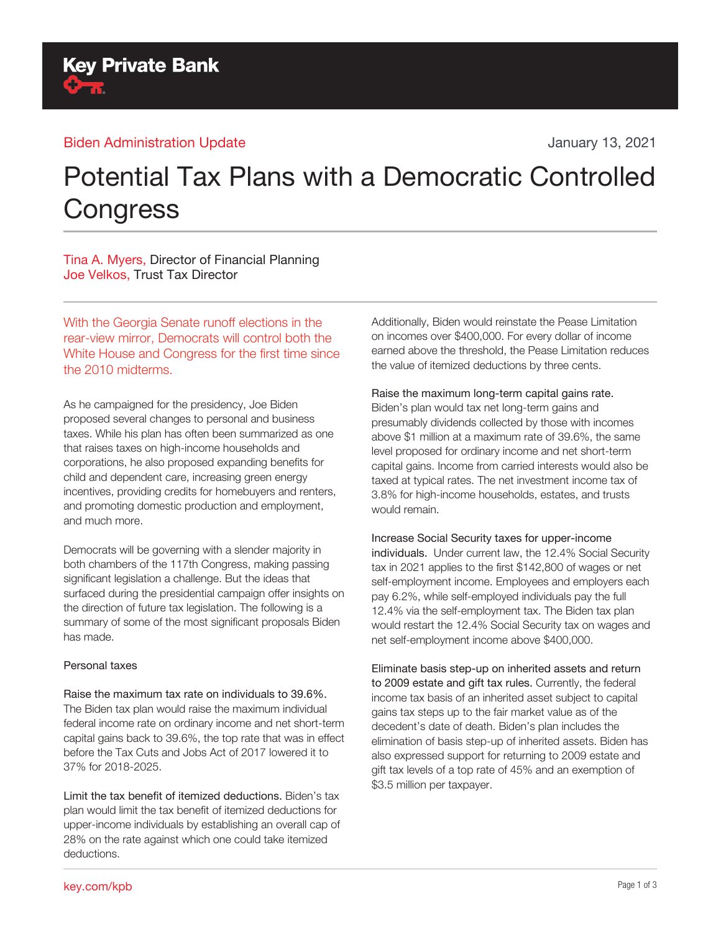**Key Private Bank** 

# Potential Tax Plans with a Democratic Controlled **Congress**

Tina A. Myers, Director of Financial Planning Joe Velkos, Trust Tax Director

With the Georgia Senate runoff elections in the rear-view mirror, Democrats will control both the White House and Congress for the first time since the 2010 midterms.

As he campaigned for the presidency, Joe Biden proposed several changes to personal and business taxes. While his plan has often been summarized as one that raises taxes on high-income households and corporations, he also proposed expanding benefits for child and dependent care, increasing green energy incentives, providing credits for homebuyers and renters, and promoting domestic production and employment, and much more.

Democrats will be governing with a slender majority in both chambers of the 117th Congress, making passing significant legislation a challenge. But the ideas that surfaced during the presidential campaign offer insights on the direction of future tax legislation. The following is a summary of some of the most significant proposals Biden has made.

#### Personal taxes

Raise the maximum tax rate on individuals to 39.6%. The Biden tax plan would raise the maximum individual federal income rate on ordinary income and net short-term capital gains back to 39.6%, the top rate that was in effect before the Tax Cuts and Jobs Act of 2017 lowered it to 37% for 2018-2025.

Limit the tax benefit of itemized deductions. Biden's tax plan would limit the tax benefit of itemized deductions for upper-income individuals by establishing an overall cap of 28% on the rate against which one could take itemized deductions.

Additionally, Biden would reinstate the Pease Limitation on incomes over \$400,000. For every dollar of income earned above the threshold, the Pease Limitation reduces the value of itemized deductions by three cents.

## Raise the maximum long-term capital gains rate.

Biden's plan would tax net long-term gains and presumably dividends collected by those with incomes above \$1 million at a maximum rate of 39.6%, the same level proposed for ordinary income and net short-term capital gains. Income from carried interests would also be taxed at typical rates. The net investment income tax of 3.8% for high-income households, estates, and trusts would remain.

Increase Social Security taxes for upper-income individuals. Under current law, the 12.4% Social Security tax in 2021 applies to the first \$142,800 of wages or net self-employment income. Employees and employers each pay 6.2%, while self-employed individuals pay the full 12.4% via the self-employment tax. The Biden tax plan would restart the 12.4% Social Security tax on wages and net self-employment income above \$400,000.

#### Eliminate basis step-up on inherited assets and return

to 2009 estate and gift tax rules. Currently, the federal income tax basis of an inherited asset subject to capital gains tax steps up to the fair market value as of the decedent's date of death. Biden's plan includes the elimination of basis step-up of inherited assets. Biden has also expressed support for returning to 2009 estate and gift tax levels of a top rate of 45% and an exemption of \$3.5 million per taxpayer.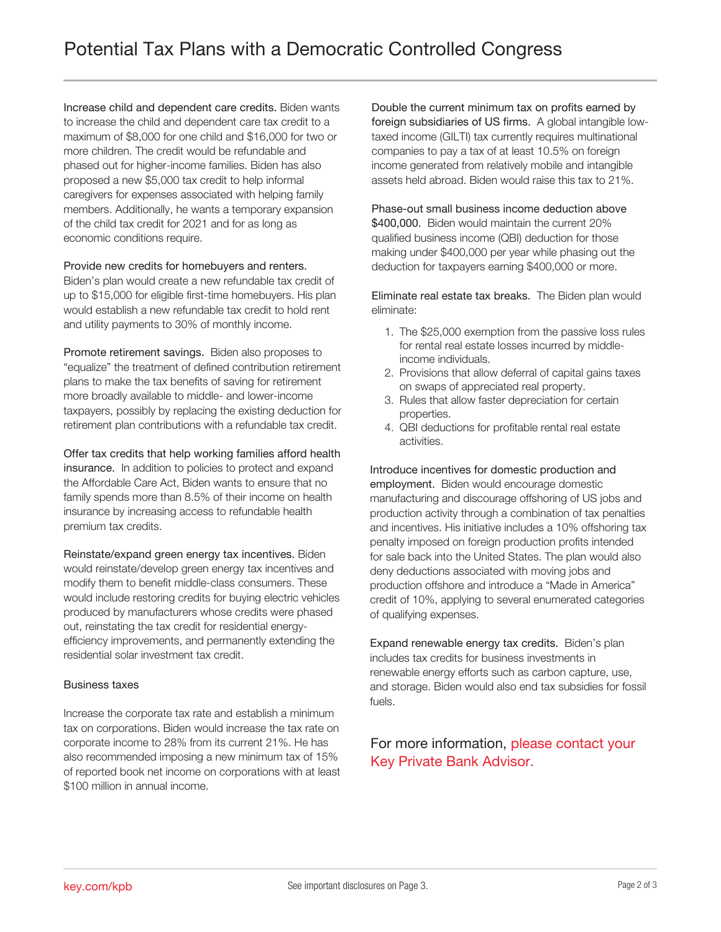Increase child and dependent care credits. Biden wants to increase the child and dependent care tax credit to a maximum of \$8,000 for one child and \$16,000 for two or more children. The credit would be refundable and phased out for higher-income families. Biden has also proposed a new \$5,000 tax credit to help informal caregivers for expenses associated with helping family members. Additionally, he wants a temporary expansion of the child tax credit for 2021 and for as long as economic conditions require.

#### Provide new credits for homebuyers and renters.

Biden's plan would create a new refundable tax credit of up to \$15,000 for eligible first-time homebuyers. His plan would establish a new refundable tax credit to hold rent and utility payments to 30% of monthly income.

Promote retirement savings. Biden also proposes to "equalize" the treatment of defined contribution retirement plans to make the tax benefits of saving for retirement more broadly available to middle- and lower-income taxpayers, possibly by replacing the existing deduction for retirement plan contributions with a refundable tax credit.

Offer tax credits that help working families afford health insurance. In addition to policies to protect and expand the Affordable Care Act, Biden wants to ensure that no family spends more than 8.5% of their income on health insurance by increasing access to refundable health premium tax credits.

Reinstate/expand green energy tax incentives. Biden would reinstate/develop green energy tax incentives and modify them to benefit middle-class consumers. These would include restoring credits for buying electric vehicles produced by manufacturers whose credits were phased out, reinstating the tax credit for residential energyefficiency improvements, and permanently extending the residential solar investment tax credit.

#### Business taxes

Increase the corporate tax rate and establish a minimum tax on corporations. Biden would increase the tax rate on corporate income to 28% from its current 21%. He has also recommended imposing a new minimum tax of 15% of reported book net income on corporations with at least \$100 million in annual income.

Double the current minimum tax on profits earned by foreign subsidiaries of US firms. A global intangible lowtaxed income (GILTI) tax currently requires multinational companies to pay a tax of at least 10.5% on foreign income generated from relatively mobile and intangible assets held abroad. Biden would raise this tax to 21%.

Phase-out small business income deduction above \$400,000. Biden would maintain the current 20% qualified business income (QBI) deduction for those making under \$400,000 per year while phasing out the deduction for taxpayers earning \$400,000 or more.

Eliminate real estate tax breaks. The Biden plan would eliminate:

- 1. The \$25,000 exemption from the passive loss rules for rental real estate losses incurred by middleincome individuals.
- 2. Provisions that allow deferral of capital gains taxes on swaps of appreciated real property.
- 3. Rules that allow faster depreciation for certain properties.
- 4. QBI deductions for profitable rental real estate activities.

Introduce incentives for domestic production and employment. Biden would encourage domestic manufacturing and discourage offshoring of US jobs and production activity through a combination of tax penalties and incentives. His initiative includes a 10% offshoring tax penalty imposed on foreign production profits intended for sale back into the United States. The plan would also deny deductions associated with moving jobs and production offshore and introduce a "Made in America" credit of 10%, applying to several enumerated categories of qualifying expenses.

Expand renewable energy tax credits. Biden's plan includes tax credits for business investments in renewable energy efforts such as carbon capture, use, and storage. Biden would also end tax subsidies for fossil fuels.

### For more information, please contact your Key Private Bank Advisor.